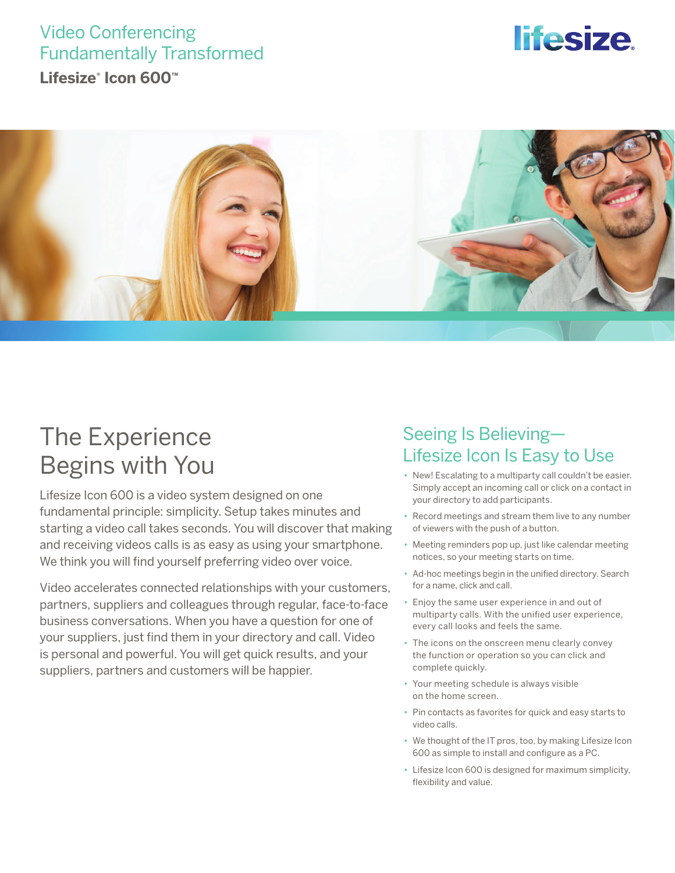## Video Conferencing Fundamentally Transformed

**Lifesize® Icon 600™**

# *lifesize*



## The Experience Begins with You

Lifesize Icon 600 is a video system designed on one fundamental principle: simplicity. Setup takes minutes and starting a video call takes seconds. You will discover that making and receiving videos calls is as easy as using your smartphone. We think you will find yourself preferring video over voice.

Video accelerates connected relationships with your customers, partners, suppliers and colleagues through regular, face-to-face business conversations. When you have a question for one of your suppliers, just find them in your directory and call. Video is personal and powerful. You will get quick results, and your suppliers, partners and customers will be happier.

### Seeing Is Believing— Lifesize Icon Is Easy to Use

- New! Escalating to a multiparty call couldn't be easier. Simply accept an incoming call or click on a contact in your directory to add participants.
- Record meetings and stream them live to any number of viewers with the push of a button.
- Meeting reminders pop up, just like calendar meeting notices, so your meeting starts on time.
- Ad-hoc meetings begin in the unified directory. Search for a name, click and call.
- Enjoy the same user experience in and out of multiparty calls. With the unified user experience, every call looks and feels the same.
- The icons on the onscreen menu clearly convey the function or operation so you can click and complete quickly.
- Your meeting schedule is always visible on the home screen.
- Pin contacts as favorites for quick and easy starts to video calls.
- We thought of the IT pros, too, by making Lifesize Icon 600 as simple to install and configure as a PC.
- Lifesize Icon 600 is designed for maximum simplicity, flexibility and value.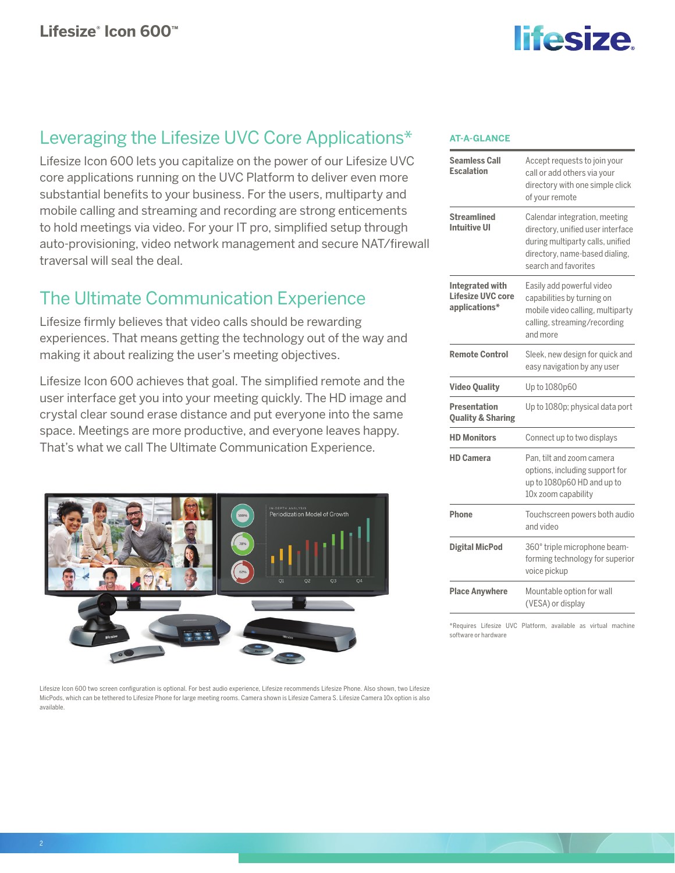

### Leveraging the Lifesize UVC Core Applications\*

Lifesize Icon 600 lets you capitalize on the power of our Lifesize UVC core applications running on the UVC Platform to deliver even more substantial benefits to your business. For the users, multiparty and mobile calling and streaming and recording are strong enticements to hold meetings via video. For your IT pro, simplified setup through auto-provisioning, video network management and secure NAT/firewall traversal will seal the deal.

### The Ultimate Communication Experience

Lifesize firmly believes that video calls should be rewarding experiences. That means getting the technology out of the way and making it about realizing the user's meeting objectives.

Lifesize Icon 600 achieves that goal. The simplified remote and the user interface get you into your meeting quickly. The HD image and crystal clear sound erase distance and put everyone into the same space. Meetings are more productive, and everyone leaves happy. That's what we call The Ultimate Communication Experience.



Lifesize Icon 600 two screen configuration is optional. For best audio experience, Lifesize recommends Lifesize Phone. Also shown, two Lifesize MicPods, which can be tethered to Lifesize Phone for large meeting rooms. Camera shown is Lifesize Camera S. Lifesize Camera 10x option is also available.

### **AT-A-GLANCE**

| <b>Seamless Call</b><br><b>Escalation</b>                    | Accept requests to join your<br>call or add others via your<br>directory with one simple click<br>of your remote                                                 |
|--------------------------------------------------------------|------------------------------------------------------------------------------------------------------------------------------------------------------------------|
| <b>Streamlined</b><br>Intuitive UI                           | Calendar integration, meeting<br>directory, unified user interface<br>during multiparty calls, unified<br>directory, name-based dialing,<br>search and favorites |
| <b>Integrated with</b><br>Lifesize UVC core<br>applications* | Easily add powerful video<br>capabilities by turning on<br>mobile video calling, multiparty<br>calling, streaming/recording<br>and more                          |
| <b>Remote Control</b>                                        | Sleek, new design for quick and<br>easy navigation by any user                                                                                                   |
| <b>Video Quality</b>                                         | Up to 1080p60                                                                                                                                                    |
| <b>Presentation</b><br><b>Quality &amp; Sharing</b>          | Up to 1080p; physical data port                                                                                                                                  |
| <b>HD Monitors</b>                                           | Connect up to two displays                                                                                                                                       |
| <b>HD Camera</b>                                             | Pan, tilt and zoom camera<br>options, including support for<br>up to 1080p60 HD and up to<br>10x zoom capability                                                 |
| Phone                                                        | Touchscreen powers both audio<br>and video                                                                                                                       |
| <b>Digital MicPod</b>                                        | 360° triple microphone beam-<br>forming technology for superior<br>voice pickup                                                                                  |
| <b>Place Anywhere</b>                                        | Mountable option for wall<br>(VESA) or display                                                                                                                   |

\*Requires Lifesize UVC Platform, available as virtual machine software or hardware